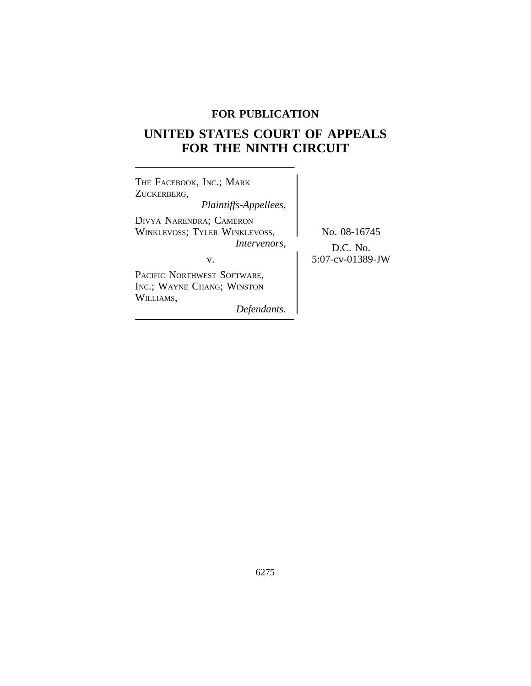## **FOR PUBLICATION**

# **UNITED STATES COURT OF APPEALS FOR THE NINTH CIRCUIT**

| THE FACEBOOK, INC.; MARK<br>ZUCKERBERG,<br>Plaintiffs-Appellees,                             |                                                   |
|----------------------------------------------------------------------------------------------|---------------------------------------------------|
| DIVYA NARENDRA; CAMERON<br><b>WINKLEVOSS; TYLER WINKLEVOSS,</b><br><i>Intervenors.</i><br>v. | No. 08-16745<br>$D.C.$ No.<br>$5:07$ -cv-01389-JW |
| PACIFIC NORTHWEST SOFTWARE,<br>INC.; WAYNE CHANG; WINSTON<br>WILLIAMS,<br>Defendants.        |                                                   |

6275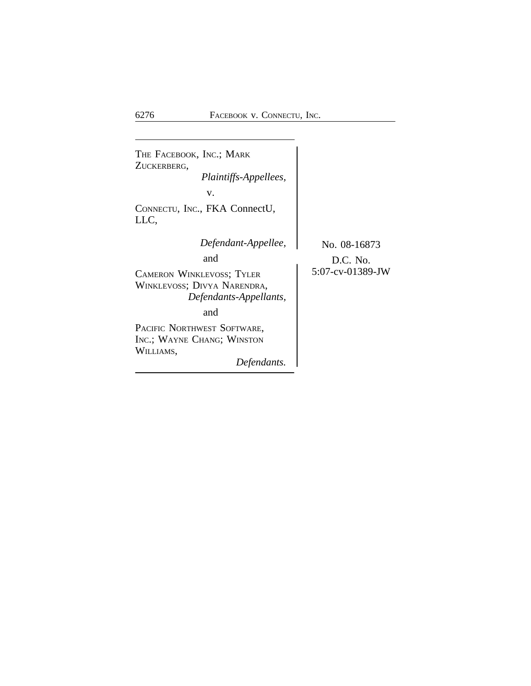<sup>T</sup>HE FACEBOOK, INC.; MARK ZUCKERBERG, *Plaintiffs-Appellees,* v. CONNECTU, INC., FKA ConnectU, LLC, *Defendant-Appellee,* No. 08-16873 and  $D.C. No.$ <br> $5:07$ -cv-01389-JW CAMERON WINKLEVOSS; TYLER WINKLEVOSS; DIVYA NARENDRA, *Defendants-Appellants,* and PACIFIC NORTHWEST SOFTWARE, INC.; WAYNE CHANG; WINSTON WILLIAMS, *Defendants.*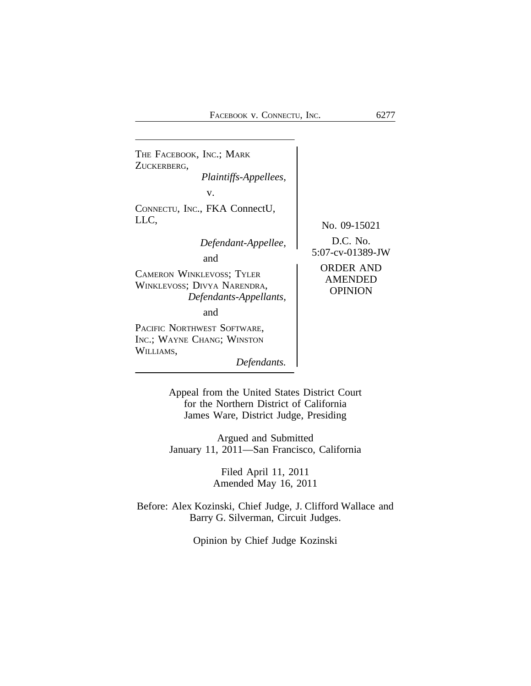

Appeal from the United States District Court for the Northern District of California James Ware, District Judge, Presiding

Argued and Submitted January 11, 2011—San Francisco, California

> Filed April 11, 2011 Amended May 16, 2011

Before: Alex Kozinski, Chief Judge, J. Clifford Wallace and Barry G. Silverman, Circuit Judges.

Opinion by Chief Judge Kozinski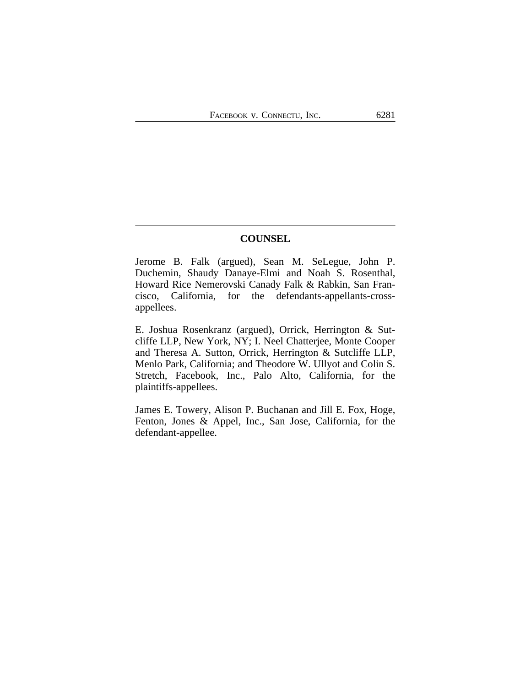## **COUNSEL**

Jerome B. Falk (argued), Sean M. SeLegue, John P. Duchemin, Shaudy Danaye-Elmi and Noah S. Rosenthal, Howard Rice Nemerovski Canady Falk & Rabkin, San Francisco, California, for the defendants-appellants-crossappellees.

E. Joshua Rosenkranz (argued), Orrick, Herrington & Sutcliffe LLP, New York, NY; I. Neel Chatterjee, Monte Cooper and Theresa A. Sutton, Orrick, Herrington & Sutcliffe LLP, Menlo Park, California; and Theodore W. Ullyot and Colin S. Stretch, Facebook, Inc., Palo Alto, California, for the plaintiffs-appellees.

James E. Towery, Alison P. Buchanan and Jill E. Fox, Hoge, Fenton, Jones & Appel, Inc., San Jose, California, for the defendant-appellee.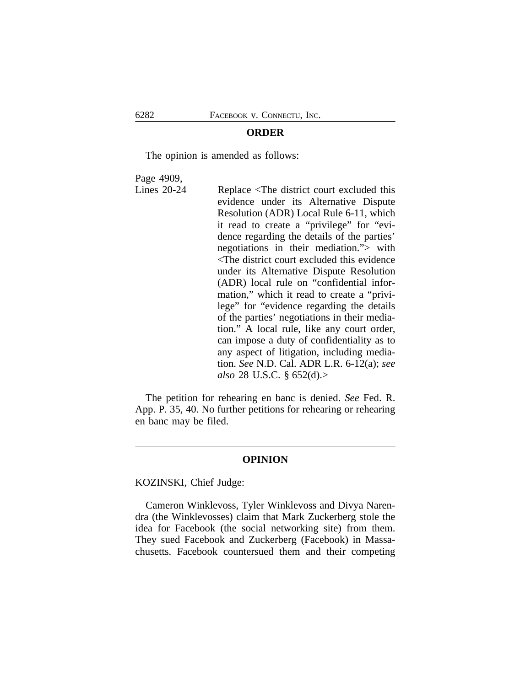#### **ORDER**

The opinion is amended as follows:

Page 4909,

Lines 20-24 Replace <The district court excluded this evidence under its Alternative Dispute Resolution (ADR) Local Rule 6-11, which it read to create a "privilege" for "evidence regarding the details of the parties' negotiations in their mediation."> with <The district court excluded this evidence under its Alternative Dispute Resolution (ADR) local rule on "confidential information," which it read to create a "privilege" for "evidence regarding the details of the parties' negotiations in their mediation." A local rule, like any court order, can impose a duty of confidentiality as to any aspect of litigation, including mediation. *See* N.D. Cal. ADR L.R. 6-12(a); *see also* 28 U.S.C. § 652(d).>

The petition for rehearing en banc is denied. *See* Fed. R. App. P. 35, 40. No further petitions for rehearing or rehearing en banc may be filed.

#### **OPINION**

#### KOZINSKI, Chief Judge:

Cameron Winklevoss, Tyler Winklevoss and Divya Narendra (the Winklevosses) claim that Mark Zuckerberg stole the idea for Facebook (the social networking site) from them. They sued Facebook and Zuckerberg (Facebook) in Massachusetts. Facebook countersued them and their competing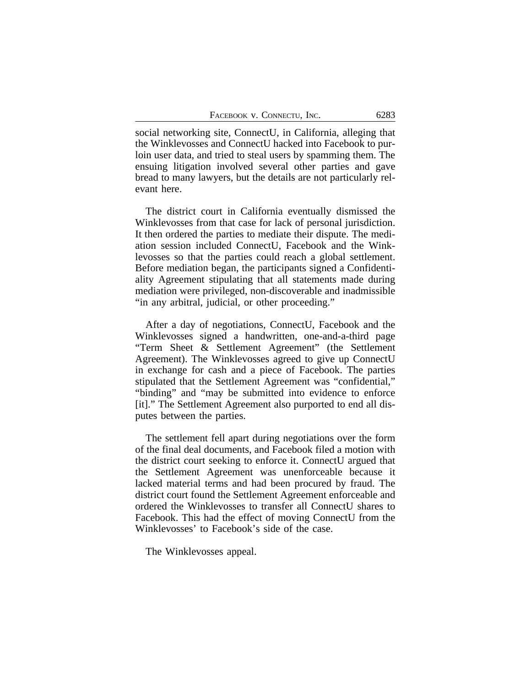social networking site, ConnectU, in California, alleging that the Winklevosses and ConnectU hacked into Facebook to purloin user data, and tried to steal users by spamming them. The ensuing litigation involved several other parties and gave bread to many lawyers, but the details are not particularly relevant here.

The district court in California eventually dismissed the Winklevosses from that case for lack of personal jurisdiction. It then ordered the parties to mediate their dispute. The mediation session included ConnectU, Facebook and the Winklevosses so that the parties could reach a global settlement. Before mediation began, the participants signed a Confidentiality Agreement stipulating that all statements made during mediation were privileged, non-discoverable and inadmissible "in any arbitral, judicial, or other proceeding."

After a day of negotiations, ConnectU, Facebook and the Winklevosses signed a handwritten, one-and-a-third page "Term Sheet & Settlement Agreement" (the Settlement Agreement). The Winklevosses agreed to give up ConnectU in exchange for cash and a piece of Facebook. The parties stipulated that the Settlement Agreement was "confidential," "binding" and "may be submitted into evidence to enforce [it]." The Settlement Agreement also purported to end all disputes between the parties.

The settlement fell apart during negotiations over the form of the final deal documents, and Facebook filed a motion with the district court seeking to enforce it. ConnectU argued that the Settlement Agreement was unenforceable because it lacked material terms and had been procured by fraud. The district court found the Settlement Agreement enforceable and ordered the Winklevosses to transfer all ConnectU shares to Facebook. This had the effect of moving ConnectU from the Winklevosses' to Facebook's side of the case.

The Winklevosses appeal.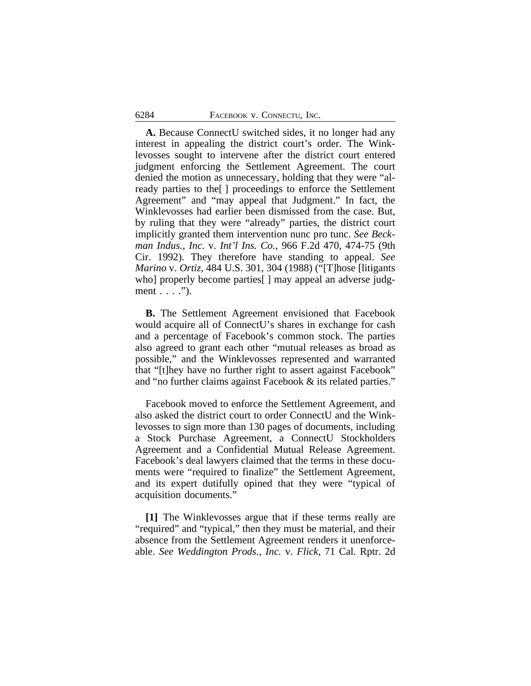**A.** Because ConnectU switched sides, it no longer had any interest in appealing the district court's order. The Winklevosses sought to intervene after the district court entered judgment enforcing the Settlement Agreement. The court denied the motion as unnecessary, holding that they were "already parties to the[ ] proceedings to enforce the Settlement Agreement" and "may appeal that Judgment." In fact, the Winklevosses had earlier been dismissed from the case. But, by ruling that they were "already" parties, the district court implicitly granted them intervention nunc pro tunc. *See Beckman Indus., Inc.* v. *Int'l Ins. Co.*, 966 F.2d 470, 474-75 (9th Cir. 1992). They therefore have standing to appeal. *See Marino* v. *Ortiz*, 484 U.S. 301, 304 (1988) ("[T]hose [litigants who] properly become parties[ ] may appeal an adverse judgment . . . .").

**B.** The Settlement Agreement envisioned that Facebook would acquire all of ConnectU's shares in exchange for cash and a percentage of Facebook's common stock. The parties also agreed to grant each other "mutual releases as broad as possible," and the Winklevosses represented and warranted that "[t]hey have no further right to assert against Facebook" and "no further claims against Facebook & its related parties."

Facebook moved to enforce the Settlement Agreement, and also asked the district court to order ConnectU and the Winklevosses to sign more than 130 pages of documents, including a Stock Purchase Agreement, a ConnectU Stockholders Agreement and a Confidential Mutual Release Agreement. Facebook's deal lawyers claimed that the terms in these documents were "required to finalize" the Settlement Agreement, and its expert dutifully opined that they were "typical of acquisition documents."

**[1]** The Winklevosses argue that if these terms really are "required" and "typical," then they must be material, and their absence from the Settlement Agreement renders it unenforceable. *See Weddington Prods., Inc.* v. *Flick*, 71 Cal. Rptr. 2d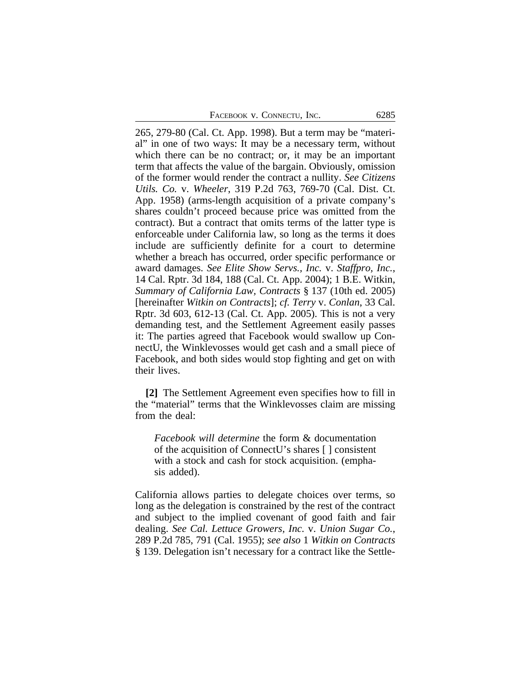265, 279-80 (Cal. Ct. App. 1998). But a term may be "material" in one of two ways: It may be a necessary term, without which there can be no contract; or, it may be an important term that affects the value of the bargain. Obviously, omission of the former would render the contract a nullity. *See Citizens Utils. Co.* v. *Wheeler*, 319 P.2d 763, 769-70 (Cal. Dist. Ct. App. 1958) (arms-length acquisition of a private company's shares couldn't proceed because price was omitted from the contract). But a contract that omits terms of the latter type is enforceable under California law, so long as the terms it does include are sufficiently definite for a court to determine whether a breach has occurred, order specific performance or award damages. *See Elite Show Servs., Inc.* v. *Staffpro, Inc.*, 14 Cal. Rptr. 3d 184, 188 (Cal. Ct. App. 2004); 1 B.E. Witkin, *Summary of California Law, Contracts* § 137 (10th ed. 2005) [hereinafter *Witkin on Contracts*]; *cf. Terry* v. *Conlan*, 33 Cal. Rptr. 3d 603, 612-13 (Cal. Ct. App. 2005). This is not a very demanding test, and the Settlement Agreement easily passes it: The parties agreed that Facebook would swallow up ConnectU, the Winklevosses would get cash and a small piece of Facebook, and both sides would stop fighting and get on with their lives.

**[2]** The Settlement Agreement even specifies how to fill in the "material" terms that the Winklevosses claim are missing from the deal:

*Facebook will determine* the form & documentation of the acquisition of ConnectU's shares [ ] consistent with a stock and cash for stock acquisition. (emphasis added).

California allows parties to delegate choices over terms, so long as the delegation is constrained by the rest of the contract and subject to the implied covenant of good faith and fair dealing. *See Cal. Lettuce Growers, Inc.* v. *Union Sugar Co.*, 289 P.2d 785, 791 (Cal. 1955); *see also* 1 *Witkin on Contracts* § 139. Delegation isn't necessary for a contract like the Settle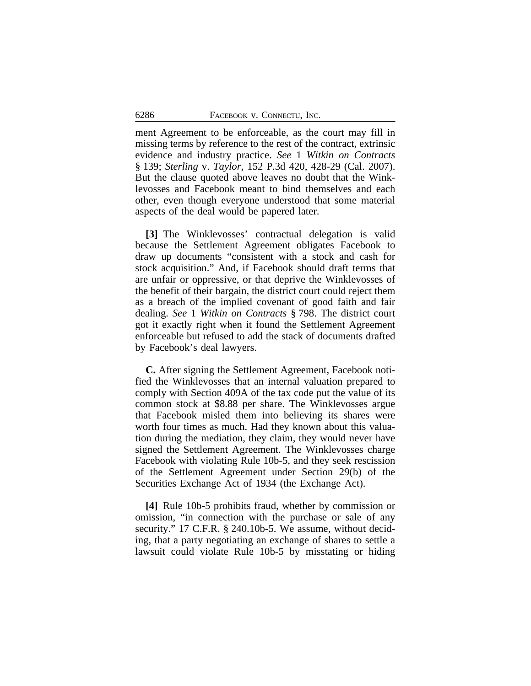ment Agreement to be enforceable, as the court may fill in missing terms by reference to the rest of the contract, extrinsic evidence and industry practice. *See* 1 *Witkin on Contracts* § 139; *Sterling* v. *Taylor*, 152 P.3d 420, 428-29 (Cal. 2007). But the clause quoted above leaves no doubt that the Winklevosses and Facebook meant to bind themselves and each other, even though everyone understood that some material aspects of the deal would be papered later.

**[3]** The Winklevosses' contractual delegation is valid because the Settlement Agreement obligates Facebook to draw up documents "consistent with a stock and cash for stock acquisition." And, if Facebook should draft terms that are unfair or oppressive, or that deprive the Winklevosses of the benefit of their bargain, the district court could reject them as a breach of the implied covenant of good faith and fair dealing. *See* 1 *Witkin on Contracts* § 798. The district court got it exactly right when it found the Settlement Agreement enforceable but refused to add the stack of documents drafted by Facebook's deal lawyers.

**C.** After signing the Settlement Agreement, Facebook notified the Winklevosses that an internal valuation prepared to comply with Section 409A of the tax code put the value of its common stock at \$8.88 per share. The Winklevosses argue that Facebook misled them into believing its shares were worth four times as much. Had they known about this valuation during the mediation, they claim, they would never have signed the Settlement Agreement. The Winklevosses charge Facebook with violating Rule 10b-5, and they seek rescission of the Settlement Agreement under Section 29(b) of the Securities Exchange Act of 1934 (the Exchange Act).

**[4]** Rule 10b-5 prohibits fraud, whether by commission or omission, "in connection with the purchase or sale of any security." 17 C.F.R. § 240.10b-5. We assume, without deciding, that a party negotiating an exchange of shares to settle a lawsuit could violate Rule 10b-5 by misstating or hiding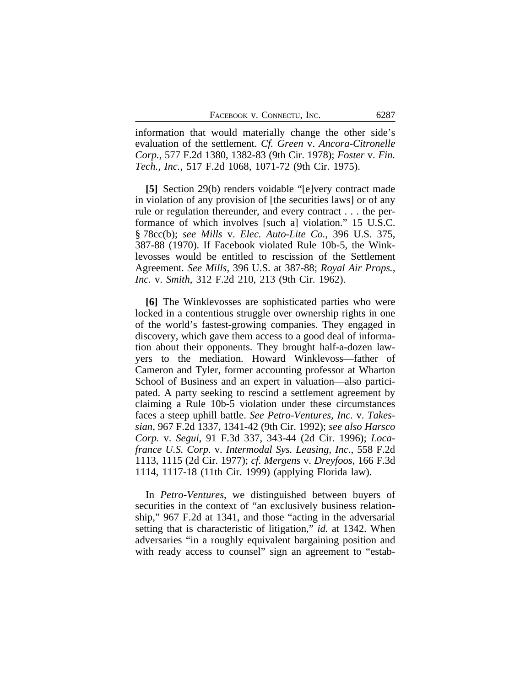information that would materially change the other side's evaluation of the settlement. *Cf. Green* v. *Ancora-Citronelle Corp.*, 577 F.2d 1380, 1382-83 (9th Cir. 1978); *Foster* v. *Fin. Tech., Inc.*, 517 F.2d 1068, 1071-72 (9th Cir. 1975).

**[5]** Section 29(b) renders voidable "[e]very contract made in violation of any provision of [the securities laws] or of any rule or regulation thereunder, and every contract . . . the performance of which involves [such a] violation." 15 U.S.C. § 78cc(b); *see Mills* v. *Elec. Auto-Lite Co.*, 396 U.S. 375, 387-88 (1970). If Facebook violated Rule 10b-5, the Winklevosses would be entitled to rescission of the Settlement Agreement. *See Mills*, 396 U.S. at 387-88; *Royal Air Props., Inc.* v. *Smith*, 312 F.2d 210, 213 (9th Cir. 1962).

**[6]** The Winklevosses are sophisticated parties who were locked in a contentious struggle over ownership rights in one of the world's fastest-growing companies. They engaged in discovery, which gave them access to a good deal of information about their opponents. They brought half-a-dozen lawyers to the mediation. Howard Winklevoss—father of Cameron and Tyler, former accounting professor at Wharton School of Business and an expert in valuation—also participated. A party seeking to rescind a settlement agreement by claiming a Rule 10b-5 violation under these circumstances faces a steep uphill battle. *See Petro-Ventures, Inc.* v. *Takessian*, 967 F.2d 1337, 1341-42 (9th Cir. 1992); *see also Harsco Corp.* v. *Segui*, 91 F.3d 337, 343-44 (2d Cir. 1996); *Locafrance U.S. Corp.* v. *Intermodal Sys. Leasing, Inc.*, 558 F.2d 1113, 1115 (2d Cir. 1977); *cf. Mergens* v. *Dreyfoos*, 166 F.3d 1114, 1117-18 (11th Cir. 1999) (applying Florida law).

In *Petro-Ventures*, we distinguished between buyers of securities in the context of "an exclusively business relationship," 967 F.2d at 1341, and those "acting in the adversarial setting that is characteristic of litigation," *id.* at 1342. When adversaries "in a roughly equivalent bargaining position and with ready access to counsel" sign an agreement to "estab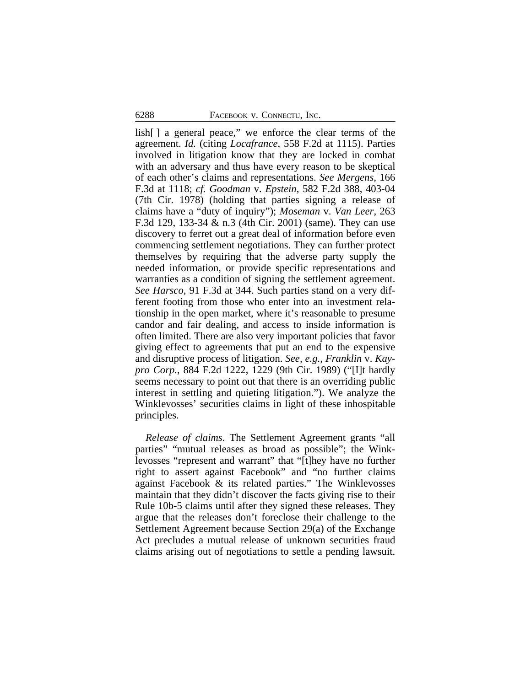lish[ ] a general peace," we enforce the clear terms of the agreement. *Id.* (citing *Locafrance*, 558 F.2d at 1115). Parties involved in litigation know that they are locked in combat with an adversary and thus have every reason to be skeptical of each other's claims and representations. *See Mergens*, 166 F.3d at 1118; *cf. Goodman* v. *Epstein*, 582 F.2d 388, 403-04 (7th Cir. 1978) (holding that parties signing a release of claims have a "duty of inquiry"); *Moseman* v. *Van Leer*, 263 F.3d 129, 133-34 & n.3 (4th Cir. 2001) (same). They can use discovery to ferret out a great deal of information before even commencing settlement negotiations. They can further protect themselves by requiring that the adverse party supply the needed information, or provide specific representations and warranties as a condition of signing the settlement agreement. *See Harsco*, 91 F.3d at 344. Such parties stand on a very different footing from those who enter into an investment relationship in the open market, where it's reasonable to presume candor and fair dealing, and access to inside information is often limited. There are also very important policies that favor giving effect to agreements that put an end to the expensive and disruptive process of litigation. *See, e.g.*, *Franklin* v. *Kaypro Corp.*, 884 F.2d 1222, 1229 (9th Cir. 1989) ("[I]t hardly seems necessary to point out that there is an overriding public interest in settling and quieting litigation."). We analyze the Winklevosses' securities claims in light of these inhospitable principles.

*Release of claims*. The Settlement Agreement grants "all parties" "mutual releases as broad as possible"; the Winklevosses "represent and warrant" that "[t]hey have no further right to assert against Facebook" and "no further claims against Facebook & its related parties." The Winklevosses maintain that they didn't discover the facts giving rise to their Rule 10b-5 claims until after they signed these releases. They argue that the releases don't foreclose their challenge to the Settlement Agreement because Section 29(a) of the Exchange Act precludes a mutual release of unknown securities fraud claims arising out of negotiations to settle a pending lawsuit.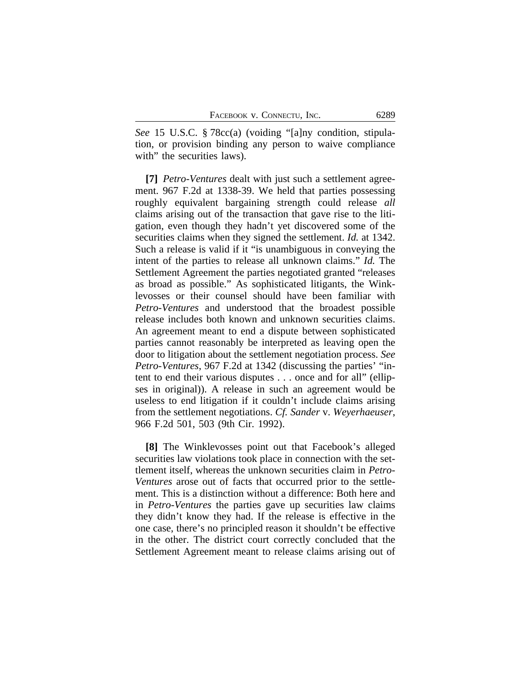*See* 15 U.S.C. § 78cc(a) (voiding "[a]ny condition, stipulation, or provision binding any person to waive compliance with" the securities laws).

**[7]** *Petro-Ventures* dealt with just such a settlement agreement. 967 F.2d at 1338-39. We held that parties possessing roughly equivalent bargaining strength could release *all* claims arising out of the transaction that gave rise to the litigation, even though they hadn't yet discovered some of the securities claims when they signed the settlement. *Id.* at 1342. Such a release is valid if it "is unambiguous in conveying the intent of the parties to release all unknown claims." *Id.* The Settlement Agreement the parties negotiated granted "releases as broad as possible." As sophisticated litigants, the Winklevosses or their counsel should have been familiar with *Petro-Ventures* and understood that the broadest possible release includes both known and unknown securities claims. An agreement meant to end a dispute between sophisticated parties cannot reasonably be interpreted as leaving open the door to litigation about the settlement negotiation process. *See Petro-Ventures*, 967 F.2d at 1342 (discussing the parties' "intent to end their various disputes . . . once and for all" (ellipses in original)). A release in such an agreement would be useless to end litigation if it couldn't include claims arising from the settlement negotiations. *Cf. Sander* v. *Weyerhaeuser*, 966 F.2d 501, 503 (9th Cir. 1992).

**[8]** The Winklevosses point out that Facebook's alleged securities law violations took place in connection with the settlement itself, whereas the unknown securities claim in *Petro-Ventures* arose out of facts that occurred prior to the settlement. This is a distinction without a difference: Both here and in *Petro-Ventures* the parties gave up securities law claims they didn't know they had. If the release is effective in the one case, there's no principled reason it shouldn't be effective in the other. The district court correctly concluded that the Settlement Agreement meant to release claims arising out of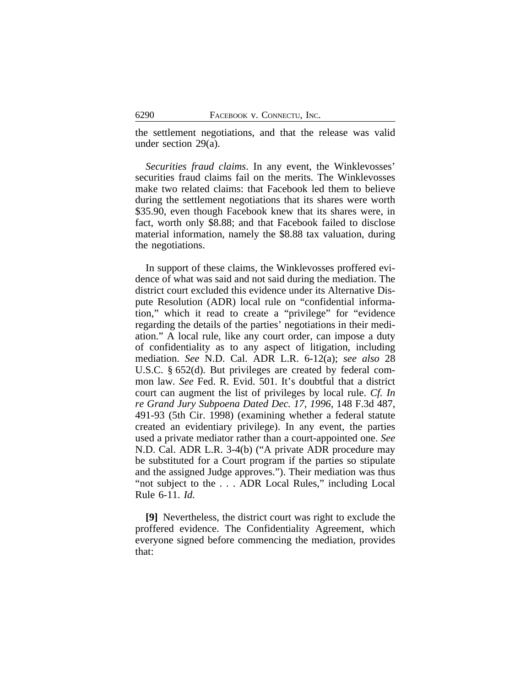the settlement negotiations, and that the release was valid under section 29(a).

*Securities fraud claims*. In any event, the Winklevosses' securities fraud claims fail on the merits. The Winklevosses make two related claims: that Facebook led them to believe during the settlement negotiations that its shares were worth \$35.90, even though Facebook knew that its shares were, in fact, worth only \$8.88; and that Facebook failed to disclose material information, namely the \$8.88 tax valuation, during the negotiations.

In support of these claims, the Winklevosses proffered evidence of what was said and not said during the mediation. The district court excluded this evidence under its Alternative Dispute Resolution (ADR) local rule on "confidential information," which it read to create a "privilege" for "evidence regarding the details of the parties' negotiations in their mediation." A local rule, like any court order, can impose a duty of confidentiality as to any aspect of litigation, including mediation. *See* N.D. Cal. ADR L.R. 6-12(a); *see also* 28 U.S.C. § 652(d). But privileges are created by federal common law. *See* Fed. R. Evid. 501. It's doubtful that a district court can augment the list of privileges by local rule. *Cf. In re Grand Jury Subpoena Dated Dec. 17, 1996*, 148 F.3d 487, 491-93 (5th Cir. 1998) (examining whether a federal statute created an evidentiary privilege). In any event, the parties used a private mediator rather than a court-appointed one. *See* N.D. Cal. ADR L.R. 3-4(b) ("A private ADR procedure may be substituted for a Court program if the parties so stipulate and the assigned Judge approves."). Their mediation was thus "not subject to the . . . ADR Local Rules," including Local Rule 6-11. *Id.*

**[9]** Nevertheless, the district court was right to exclude the proffered evidence. The Confidentiality Agreement, which everyone signed before commencing the mediation, provides that: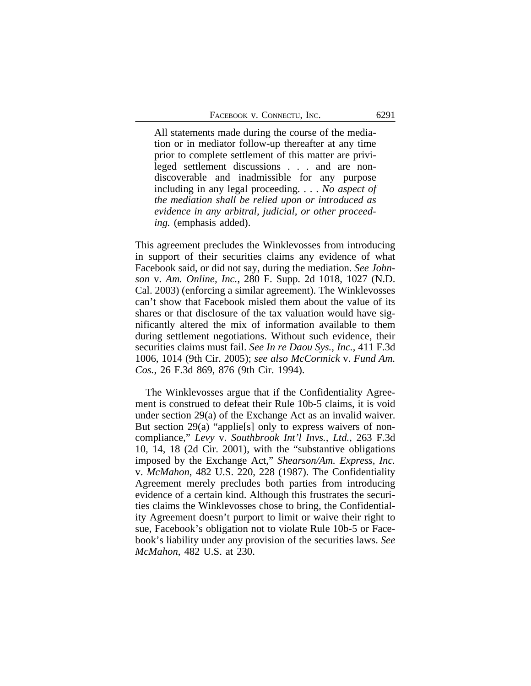All statements made during the course of the mediation or in mediator follow-up thereafter at any time prior to complete settlement of this matter are privileged settlement discussions . . . and are nondiscoverable and inadmissible for any purpose including in any legal proceeding. . . . *No aspect of the mediation shall be relied upon or introduced as evidence in any arbitral, judicial, or other proceeding.* (emphasis added).

This agreement precludes the Winklevosses from introducing in support of their securities claims any evidence of what Facebook said, or did not say, during the mediation. *See Johnson* v. *Am. Online, Inc.*, 280 F. Supp. 2d 1018, 1027 (N.D. Cal. 2003) (enforcing a similar agreement). The Winklevosses can't show that Facebook misled them about the value of its shares or that disclosure of the tax valuation would have significantly altered the mix of information available to them during settlement negotiations. Without such evidence, their securities claims must fail. *See In re Daou Sys., Inc.*, 411 F.3d 1006, 1014 (9th Cir. 2005); *see also McCormick* v. *Fund Am. Cos.*, 26 F.3d 869, 876 (9th Cir. 1994).

The Winklevosses argue that if the Confidentiality Agreement is construed to defeat their Rule 10b-5 claims, it is void under section 29(a) of the Exchange Act as an invalid waiver. But section 29(a) "applie<sup>[s]</sup> only to express waivers of noncompliance," *Levy* v. *Southbrook Int'l Invs., Ltd.*, 263 F.3d 10, 14, 18 (2d Cir. 2001), with the "substantive obligations imposed by the Exchange Act," *Shearson/Am. Express, Inc.* v. *McMahon*, 482 U.S. 220, 228 (1987). The Confidentiality Agreement merely precludes both parties from introducing evidence of a certain kind. Although this frustrates the securities claims the Winklevosses chose to bring, the Confidentiality Agreement doesn't purport to limit or waive their right to sue, Facebook's obligation not to violate Rule 10b-5 or Facebook's liability under any provision of the securities laws. *See McMahon*, 482 U.S. at 230.